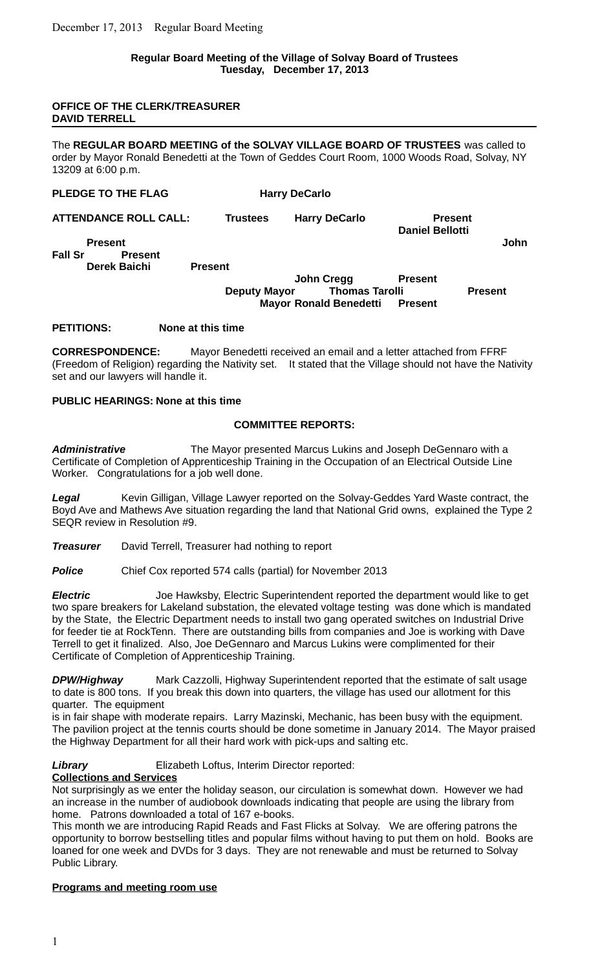## **Regular Board Meeting of the Village of Solvay Board of Trustees Tuesday, December 17, 2013**

#### **OFFICE OF THE CLERK/TREASURER DAVID TERRELL**

The **REGULAR BOARD MEETING of the SOLVAY VILLAGE BOARD OF TRUSTEES** was called to order by Mayor Ronald Benedetti at the Town of Geddes Court Room, 1000 Woods Road, Solvay, NY 13209 at 6:00 p.m.

| PLEDGE TO THE FLAG               |                     | <b>Harry DeCarlo</b>          |                                          |                |
|----------------------------------|---------------------|-------------------------------|------------------------------------------|----------------|
| <b>ATTENDANCE ROLL CALL:</b>     | <b>Trustees</b>     | <b>Harry DeCarlo</b>          | <b>Present</b><br><b>Daniel Bellotti</b> |                |
| <b>Present</b>                   |                     |                               |                                          | John           |
| <b>Fall Sr</b><br><b>Present</b> |                     |                               |                                          |                |
| Derek Baichi                     | <b>Present</b>      |                               |                                          |                |
|                                  |                     | John Cregg                    | <b>Present</b>                           |                |
|                                  | <b>Deputy Mayor</b> | <b>Thomas Tarolli</b>         |                                          | <b>Present</b> |
|                                  |                     | <b>Mayor Ronald Benedetti</b> | <b>Present</b>                           |                |

### **PETITIONS: None at this time**

**CORRESPONDENCE:** Mayor Benedetti received an email and a letter attached from FFRF (Freedom of Religion) regarding the Nativity set. It stated that the Village should not have the Nativity set and our lawyers will handle it.

### **PUBLIC HEARINGS: None at this time**

### **COMMITTEE REPORTS:**

*Administrative* The Mayor presented Marcus Lukins and Joseph DeGennaro with a Certificate of Completion of Apprenticeship Training in the Occupation of an Electrical Outside Line Worker. Congratulations for a job well done.

*Legal* Kevin Gilligan, Village Lawyer reported on the Solvay-Geddes Yard Waste contract, the Boyd Ave and Mathews Ave situation regarding the land that National Grid owns, explained the Type 2 SEQR review in Resolution #9.

**Treasurer** David Terrell, Treasurer had nothing to report

**Police** Chief Cox reported 574 calls (partial) for November 2013

*Electric* Joe Hawksby, Electric Superintendent reported the department would like to get two spare breakers for Lakeland substation, the elevated voltage testing was done which is mandated by the State, the Electric Department needs to install two gang operated switches on Industrial Drive for feeder tie at RockTenn. There are outstanding bills from companies and Joe is working with Dave Terrell to get it finalized. Also, Joe DeGennaro and Marcus Lukins were complimented for their Certificate of Completion of Apprenticeship Training.

*DPW/Highway* Mark Cazzolli, Highway Superintendent reported that the estimate of salt usage to date is 800 tons. If you break this down into quarters, the village has used our allotment for this quarter. The equipment

is in fair shape with moderate repairs. Larry Mazinski, Mechanic, has been busy with the equipment. The pavilion project at the tennis courts should be done sometime in January 2014. The Mayor praised the Highway Department for all their hard work with pick-ups and salting etc.

## **Library** Elizabeth Loftus, Interim Director reported:

## **Collections and Services**

Not surprisingly as we enter the holiday season, our circulation is somewhat down. However we had an increase in the number of audiobook downloads indicating that people are using the library from home. Patrons downloaded a total of 167 e-books.

This month we are introducing Rapid Reads and Fast Flicks at Solvay. We are offering patrons the opportunity to borrow bestselling titles and popular films without having to put them on hold. Books are loaned for one week and DVDs for 3 days. They are not renewable and must be returned to Solvay Public Library.

#### **Programs and meeting room use**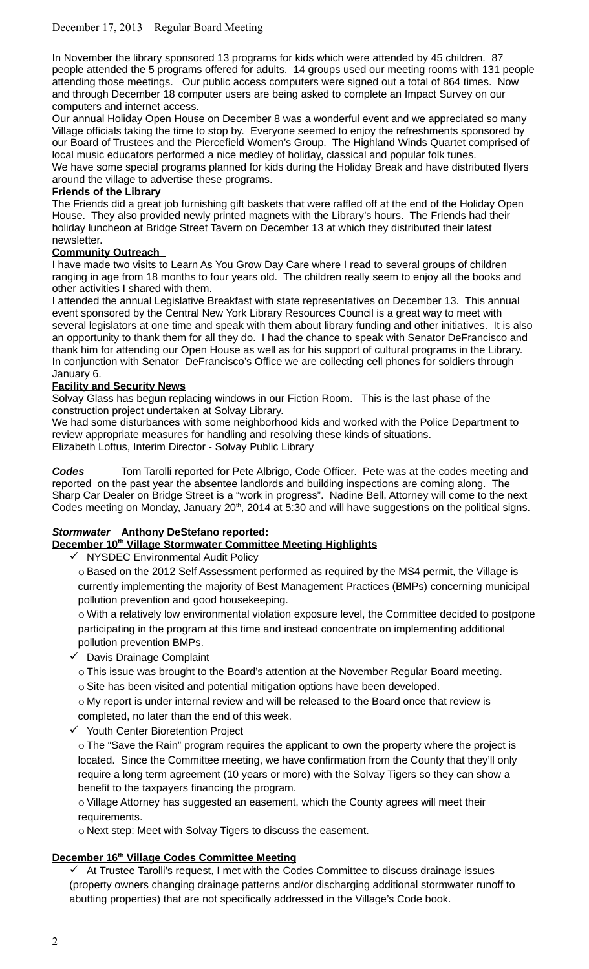In November the library sponsored 13 programs for kids which were attended by 45 children. 87 people attended the 5 programs offered for adults. 14 groups used our meeting rooms with 131 people attending those meetings. Our public access computers were signed out a total of 864 times. Now and through December 18 computer users are being asked to complete an Impact Survey on our computers and internet access.

Our annual Holiday Open House on December 8 was a wonderful event and we appreciated so many Village officials taking the time to stop by. Everyone seemed to enjoy the refreshments sponsored by our Board of Trustees and the Piercefield Women's Group. The Highland Winds Quartet comprised of local music educators performed a nice medley of holiday, classical and popular folk tunes. We have some special programs planned for kids during the Holiday Break and have distributed flyers around the village to advertise these programs.

## **Friends of the Library**

The Friends did a great job furnishing gift baskets that were raffled off at the end of the Holiday Open House. They also provided newly printed magnets with the Library's hours. The Friends had their holiday luncheon at Bridge Street Tavern on December 13 at which they distributed their latest newsletter.

## **Community Outreach**

I have made two visits to Learn As You Grow Day Care where I read to several groups of children ranging in age from 18 months to four years old. The children really seem to enjoy all the books and other activities I shared with them.

I attended the annual Legislative Breakfast with state representatives on December 13. This annual event sponsored by the Central New York Library Resources Council is a great way to meet with several legislators at one time and speak with them about library funding and other initiatives. It is also an opportunity to thank them for all they do. I had the chance to speak with Senator DeFrancisco and thank him for attending our Open House as well as for his support of cultural programs in the Library. In conjunction with Senator DeFrancisco's Office we are collecting cell phones for soldiers through January 6.

## **Facility and Security News**

Solvay Glass has begun replacing windows in our Fiction Room. This is the last phase of the construction project undertaken at Solvay Library.

We had some disturbances with some neighborhood kids and worked with the Police Department to review appropriate measures for handling and resolving these kinds of situations. Elizabeth Loftus, Interim Director - Solvay Public Library

*Codes* Tom Tarolli reported for Pete Albrigo, Code Officer. Pete was at the codes meeting and reported on the past year the absentee landlords and building inspections are coming along. The Sharp Car Dealer on Bridge Street is a "work in progress". Nadine Bell, Attorney will come to the next Codes meeting on Monday, January 20<sup>th</sup>, 2014 at 5:30 and will have suggestions on the political signs.

## *Stormwater* **Anthony DeStefano reported:**

## **December 10th Village Stormwater Committee Meeting Highlights**

 $\checkmark$  NYSDEC Environmental Audit Policy

 $\circ$  Based on the 2012 Self Assessment performed as required by the MS4 permit, the Village is currently implementing the majority of Best Management Practices (BMPs) concerning municipal pollution prevention and good housekeeping.

o With a relatively low environmental violation exposure level, the Committee decided to postpone participating in the program at this time and instead concentrate on implementing additional pollution prevention BMPs.

- $\checkmark$  Davis Drainage Complaint
	- o This issue was brought to the Board's attention at the November Regular Board meeting.
	- $\circ$  Site has been visited and potential mitigation options have been developed.

o My report is under internal review and will be released to the Board once that review is completed, no later than the end of this week.

 $\checkmark$  Youth Center Bioretention Project

 $\circ$  The "Save the Rain" program requires the applicant to own the property where the project is located. Since the Committee meeting, we have confirmation from the County that they'll only require a long term agreement (10 years or more) with the Solvay Tigers so they can show a benefit to the taxpayers financing the program.

o Village Attorney has suggested an easement, which the County agrees will meet their requirements.

o Next step: Meet with Solvay Tigers to discuss the easement.

## **December 16th Village Codes Committee Meeting**

 $\checkmark$  At Trustee Tarolli's request, I met with the Codes Committee to discuss drainage issues (property owners changing drainage patterns and/or discharging additional stormwater runoff to abutting properties) that are not specifically addressed in the Village's Code book.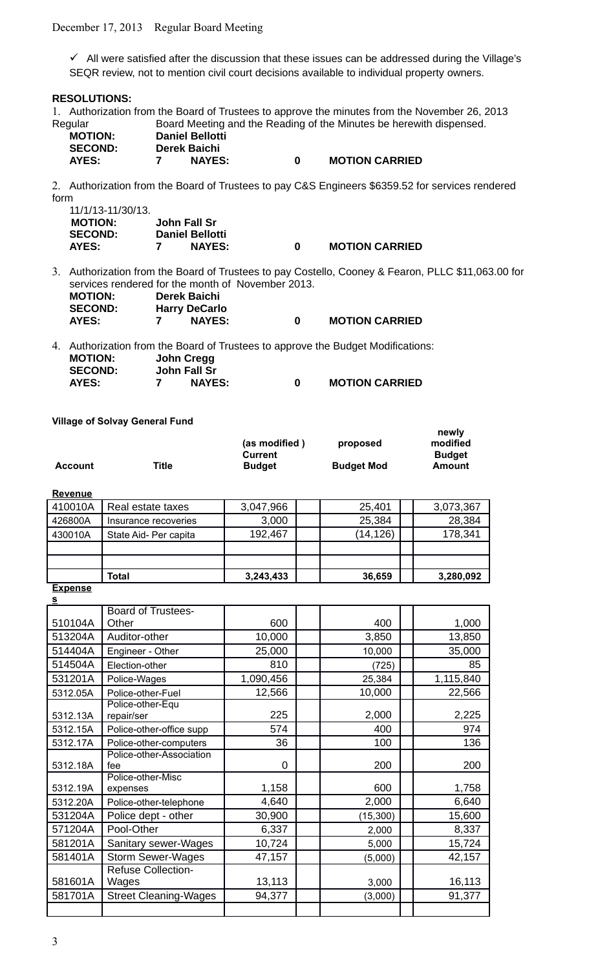$\checkmark$  All were satisfied after the discussion that these issues can be addressed during the Village's SEQR review, not to mention civil court decisions available to individual property owners.

#### **RESOLUTIONS:**

1. Authorization from the Board of Trustees to approve the minutes from the November 26, 2013 Regular Board Meeting and the Reading of the Minutes be herewith dispensed. **MOTION: Daniel Bellotti**

| IVIU I IUIV.   | <b>DAILEI DEIIUM</b> |                       |
|----------------|----------------------|-----------------------|
| <b>SECOND:</b> | Derek Baichi         |                       |
| AYES:          | <b>NAYES:</b>        | <b>MOTION CARRIED</b> |

2. Authorization from the Board of Trustees to pay C&S Engineers \$6359.52 for services rendered form

| 11/1/13-11/30/13. |                        |   |                       |
|-------------------|------------------------|---|-----------------------|
| <b>MOTION:</b>    | John Fall Sr           |   |                       |
| <b>SECOND:</b>    | <b>Daniel Bellotti</b> |   |                       |
| AYES:             | <b>NAYES:</b>          | 0 | <b>MOTION CARRIED</b> |

3. Authorization from the Board of Trustees to pay Costello, Cooney & Fearon, PLLC \$11,063.00 for services rendered for the month of November 2013.

**newly**

| <b>MOTION:</b> | Derek Baichi         |   |                       |
|----------------|----------------------|---|-----------------------|
| <b>SECOND:</b> | <b>Harry DeCarlo</b> |   |                       |
| <b>AYES:</b>   | <b>NAYES:</b>        | n | <b>MOTION CARRIED</b> |

4. Authorization from the Board of Trustees to approve the Budget Modifications: **MOTION: John Cregg SECOND: John Fall Sr AYES: 7 NAYES: 0 MOTION CARRIED**

## **Village of Solvay General Fund**

|                |       | (as modified)<br>Current | proposed          | <br>modified<br><b>Budget</b> |
|----------------|-------|--------------------------|-------------------|-------------------------------|
| <b>Account</b> | ⊤itle | <b>Budget</b>            | <b>Budget Mod</b> | Amount                        |

#### **Revenue**

|         | Total                 | 3,243,433 | 36,659   | 3,280,092 |
|---------|-----------------------|-----------|----------|-----------|
|         |                       |           |          |           |
|         |                       |           |          |           |
| 430010A | State Aid- Per capita | 192,467   | (14,126) | 178,341   |
| 426800A | Insurance recoveries  | 3,000     | 25,384   | 28,384    |
| 410010A | Real estate taxes     | 3,047,966 | 25,401   | 3,073,367 |

# **Expense**

| $\overline{\mathbf{s}}$ |                                    |           |           |           |
|-------------------------|------------------------------------|-----------|-----------|-----------|
| 510104A                 | <b>Board of Trustees-</b><br>Other | 600       | 400       | 1,000     |
| 513204A                 | Auditor-other                      | 10,000    | 3,850     | 13,850    |
| 514404A                 | Engineer - Other                   | 25,000    | 10,000    | 35,000    |
| 514504A                 | Election-other                     | 810       | (725)     | 85        |
| 531201A                 | Police-Wages                       | 1,090,456 | 25,384    | 1,115,840 |
| 5312.05A                | Police-other-Fuel                  | 12,566    | 10,000    | 22,566    |
| 5312.13A                | Police-other-Equ<br>repair/ser     | 225       | 2,000     | 2,225     |
| 5312.15A                | Police-other-office supp           | 574       | 400       | 974       |
| 5312.17A                | Police-other-computers             | 36        | 100       | 136       |
| 5312.18A                | Police-other-Association<br>fee    | 0         | 200       | 200       |
| 5312.19A                | Police-other-Misc<br>expenses      | 1,158     | 600       | 1,758     |
| 5312.20A                | Police-other-telephone             | 4,640     | 2,000     | 6,640     |
| 531204A                 | Police dept - other                | 30,900    | (15, 300) | 15,600    |
| 571204A                 | Pool-Other                         | 6,337     | 2,000     | 8,337     |
| 581201A                 | Sanitary sewer-Wages               | 10,724    | 5,000     | 15,724    |
| 581401A                 | <b>Storm Sewer-Wages</b>           | 47,157    | (5,000)   | 42,157    |
| 581601A                 | <b>Refuse Collection-</b><br>Wages | 13,113    | 3,000     | 16,113    |
| 581701A                 | <b>Street Cleaning-Wages</b>       | 94,377    | (3,000)   | 91,377    |
|                         |                                    |           |           |           |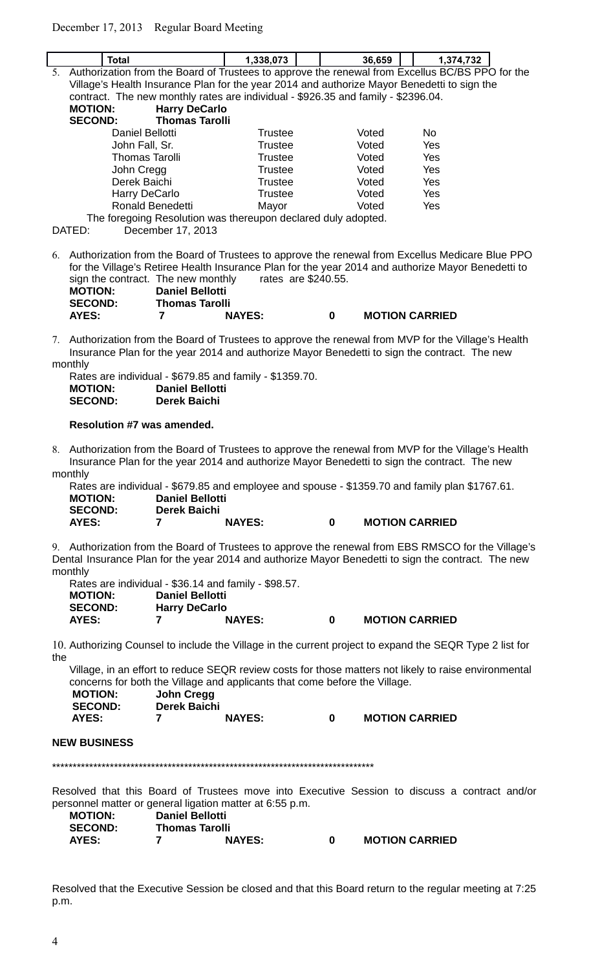$\overline{\phantom{a}}$ 

|                                                                                                                                                                                                                                                                                                                                                                                                                                         | <b>Total</b>                                                                                    | 1,338,073      |  |  | 36,659 |  | 1,374,732      |  |
|-----------------------------------------------------------------------------------------------------------------------------------------------------------------------------------------------------------------------------------------------------------------------------------------------------------------------------------------------------------------------------------------------------------------------------------------|-------------------------------------------------------------------------------------------------|----------------|--|--|--------|--|----------------|--|
| 5.                                                                                                                                                                                                                                                                                                                                                                                                                                      | Authorization from the Board of Trustees to approve the renewal from Excellus BC/BS PPO for the |                |  |  |        |  |                |  |
|                                                                                                                                                                                                                                                                                                                                                                                                                                         | Village's Health Insurance Plan for the year 2014 and authorize Mayor Benedetti to sign the     |                |  |  |        |  |                |  |
|                                                                                                                                                                                                                                                                                                                                                                                                                                         | contract. The new monthly rates are individual - \$926.35 and family - \$2396.04.               |                |  |  |        |  |                |  |
|                                                                                                                                                                                                                                                                                                                                                                                                                                         | <b>MOTION:</b><br><b>Harry DeCarlo</b>                                                          |                |  |  |        |  |                |  |
|                                                                                                                                                                                                                                                                                                                                                                                                                                         | <b>SECOND:</b><br><b>Thomas Tarolli</b>                                                         |                |  |  |        |  |                |  |
|                                                                                                                                                                                                                                                                                                                                                                                                                                         | Daniel Bellotti                                                                                 | <b>Trustee</b> |  |  | Voted  |  | N <sub>0</sub> |  |
|                                                                                                                                                                                                                                                                                                                                                                                                                                         | John Fall, Sr.                                                                                  | <b>Trustee</b> |  |  | Voted  |  | Yes            |  |
|                                                                                                                                                                                                                                                                                                                                                                                                                                         | <b>Thomas Tarolli</b>                                                                           | <b>Trustee</b> |  |  | Voted  |  | Yes            |  |
|                                                                                                                                                                                                                                                                                                                                                                                                                                         | John Cregg                                                                                      | <b>Trustee</b> |  |  | Voted  |  | Yes            |  |
|                                                                                                                                                                                                                                                                                                                                                                                                                                         | Derek Baichi                                                                                    | <b>Trustee</b> |  |  | Voted  |  | Yes            |  |
|                                                                                                                                                                                                                                                                                                                                                                                                                                         | Harry DeCarlo                                                                                   | <b>Trustee</b> |  |  | Voted  |  | Yes            |  |
|                                                                                                                                                                                                                                                                                                                                                                                                                                         | Ronald Benedetti                                                                                | Mayor          |  |  | Voted  |  | Yes            |  |
|                                                                                                                                                                                                                                                                                                                                                                                                                                         | The foregoing Resolution was thereupon declared duly adopted.                                   |                |  |  |        |  |                |  |
|                                                                                                                                                                                                                                                                                                                                                                                                                                         | DATED:<br>December 17, 2013                                                                     |                |  |  |        |  |                |  |
| 6. Authorization from the Board of Trustees to approve the renewal from Excellus Medicare Blue PPO<br>for the Village's Retiree Health Insurance Plan for the year 2014 and authorize Mayor Benedetti to<br>sign the contract. The new monthly<br>rates are \$240.55.<br><b>Daniel Bellotti</b><br><b>MOTION:</b><br><b>SECOND:</b><br><b>Thomas Tarolli</b><br><b>AYES:</b><br><b>MOTION CARRIED</b><br>7<br><b>NAYES:</b><br>$\bf{0}$ |                                                                                                 |                |  |  |        |  |                |  |
| 7. Authorization from the Board of Trustees to approve the renewal from MVP for the Village's Health<br>Insurance Plan for the year 2014 and authorize Mayor Benedetti to sign the contract. The new<br>monthly                                                                                                                                                                                                                         |                                                                                                 |                |  |  |        |  |                |  |

| Rates are individual - \$679.85 and family - \$1359.70. |
|---------------------------------------------------------|
| <b>Daniel Bellotti</b>                                  |
| Derek Baichi                                            |
|                                                         |

#### **Resolution #7 was amended.**

8. Authorization from the Board of Trustees to approve the renewal from MVP for the Village's Health Insurance Plan for the year 2014 and authorize Mayor Benedetti to sign the contract. The new monthly

Rates are individual - \$679.85 and employee and spouse - \$1359.70 and family plan \$1767.61. **MOTION: Daniel Bellotti SECOND: Derek Baichi AYES: 7 NAYES: 0 MOTION CARRIED**

9. Authorization from the Board of Trustees to approve the renewal from EBS RMSCO for the Village's Dental Insurance Plan for the year 2014 and authorize Mayor Benedetti to sign the contract. The new monthly

| Rates are individual - \$36.14 and family - \$98.57. |                        |               |   |                       |
|------------------------------------------------------|------------------------|---------------|---|-----------------------|
| <b>MOTION:</b>                                       | <b>Daniel Bellotti</b> |               |   |                       |
| <b>SECOND:</b>                                       | <b>Harry DeCarlo</b>   |               |   |                       |
| <b>AYES:</b>                                         |                        | <b>NAYES:</b> | o | <b>MOTION CARRIED</b> |

10. Authorizing Counsel to include the Village in the current project to expand the SEQR Type 2 list for the

Village, in an effort to reduce SEQR review costs for those matters not likely to raise environmental concerns for both the Village and applicants that come before the Village.

| <b>MOTION:</b> | John Cregg   |               |   |                       |
|----------------|--------------|---------------|---|-----------------------|
| <b>SECOND:</b> | Derek Baichi |               |   |                       |
| AYES:          |              | <b>NAYES:</b> | 0 | <b>MOTION CARRIED</b> |

#### **NEW BUSINESS**

\*\*\*\*\*\*\*\*\*\*\*\*\*\*\*\*\*\*\*\*\*\*\*\*\*\*\*\*\*\*\*\*\*\*\*\*\*\*\*\*\*\*\*\*\*\*\*\*\*\*\*\*\*\*\*\*\*\*\*\*\*\*\*\*\*\*\*\*\*\*\*\*\*\*\*\*\*\*

Resolved that this Board of Trustees move into Executive Session to discuss a contract and/or personnel matter or general ligation matter at 6:55 p.m.

| <b>MOTION:</b> | <b>Daniel Bellotti</b> |                       |  |                       |  |  |
|----------------|------------------------|-----------------------|--|-----------------------|--|--|
| <b>SECOND:</b> |                        | <b>Thomas Tarolli</b> |  |                       |  |  |
| AYES:          |                        | <b>NAYES:</b>         |  | <b>MOTION CARRIED</b> |  |  |

Resolved that the Executive Session be closed and that this Board return to the regular meeting at 7:25 p.m.